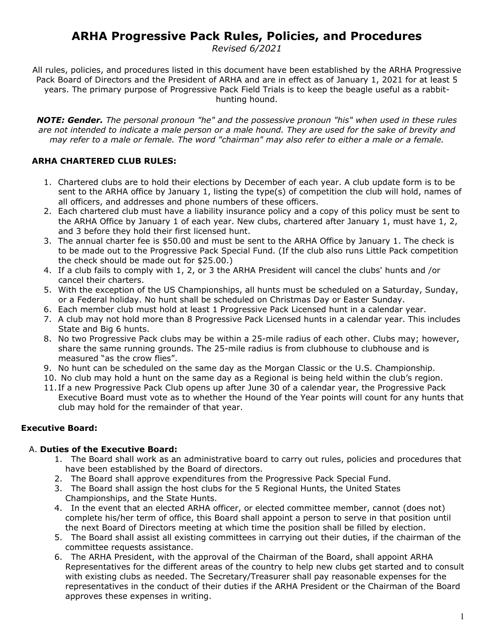# **ARHA Progressive Pack Rules, Policies, and Procedures**

*Revised 6/2021*

All rules, policies, and procedures listed in this document have been established by the ARHA Progressive Pack Board of Directors and the President of ARHA and are in effect as of January 1, 2021 for at least 5 years. The primary purpose of Progressive Pack Field Trials is to keep the beagle useful as a rabbithunting hound.

*NOTE: Gender. The personal pronoun "he" and the possessive pronoun "his" when used in these rules are not intended to indicate a male person or a male hound. They are used for the sake of brevity and may refer to a male or female. The word "chairman" may also refer to either a male or a female.* 

#### **ARHA CHARTERED CLUB RULES:**

- 1. Chartered clubs are to hold their elections by December of each year. A club update form is to be sent to the ARHA office by January 1, listing the type(s) of competition the club will hold, names of all officers, and addresses and phone numbers of these officers.
- 2. Each chartered club must have a liability insurance policy and a copy of this policy must be sent to the ARHA Office by January 1 of each year. New clubs, chartered after January 1, must have 1, 2, and 3 before they hold their first licensed hunt.
- 3. The annual charter fee is \$50.00 and must be sent to the ARHA Office by January 1. The check is to be made out to the Progressive Pack Special Fund. (If the club also runs Little Pack competition the check should be made out for \$25.00.)
- 4. If a club fails to comply with 1, 2, or 3 the ARHA President will cancel the clubs' hunts and /or cancel their charters.
- 5. With the exception of the US Championships, all hunts must be scheduled on a Saturday, Sunday, or a Federal holiday. No hunt shall be scheduled on Christmas Day or Easter Sunday.
- 6. Each member club must hold at least 1 Progressive Pack Licensed hunt in a calendar year.
- 7. A club may not hold more than 8 Progressive Pack Licensed hunts in a calendar year. This includes State and Big 6 hunts.
- 8. No two Progressive Pack clubs may be within a 25-mile radius of each other. Clubs may; however, share the same running grounds. The 25-mile radius is from clubhouse to clubhouse and is measured "as the crow flies".
- 9. No hunt can be scheduled on the same day as the Morgan Classic or the U.S. Championship.
- 10. No club may hold a hunt on the same day as a Regional is being held within the club's region.
- 11. If a new Progressive Pack Club opens up after June 30 of a calendar year, the Progressive Pack Executive Board must vote as to whether the Hound of the Year points will count for any hunts that club may hold for the remainder of that year.

#### **Executive Board:**

#### A. **Duties of the Executive Board:**

- 1. The Board shall work as an administrative board to carry out rules, policies and procedures that have been established by the Board of directors.
- 2. The Board shall approve expenditures from the Progressive Pack Special Fund.
- 3. The Board shall assign the host clubs for the 5 Regional Hunts, the United States Championships, and the State Hunts.
- 4. In the event that an elected ARHA officer, or elected committee member, cannot (does not) complete his/her term of office, this Board shall appoint a person to serve in that position until the next Board of Directors meeting at which time the position shall be filled by election.
- 5. The Board shall assist all existing committees in carrying out their duties, if the chairman of the committee requests assistance.
- 6. The ARHA President, with the approval of the Chairman of the Board, shall appoint ARHA Representatives for the different areas of the country to help new clubs get started and to consult with existing clubs as needed. The Secretary/Treasurer shall pay reasonable expenses for the representatives in the conduct of their duties if the ARHA President or the Chairman of the Board approves these expenses in writing.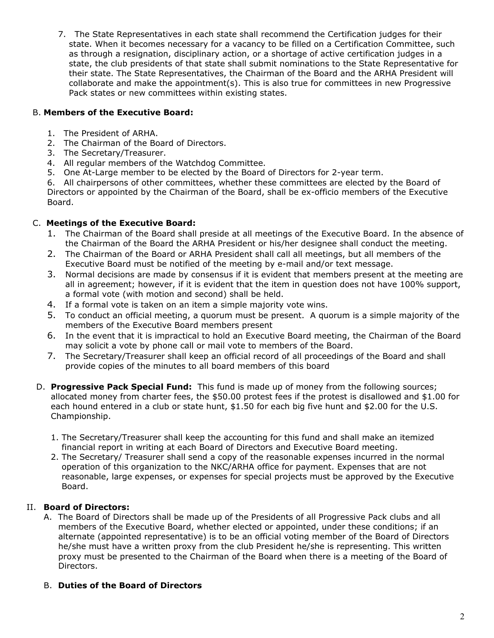7. The State Representatives in each state shall recommend the Certification judges for their state. When it becomes necessary for a vacancy to be filled on a Certification Committee, such as through a resignation, disciplinary action, or a shortage of active certification judges in a state, the club presidents of that state shall submit nominations to the State Representative for their state. The State Representatives, the Chairman of the Board and the ARHA President will collaborate and make the appointment(s). This is also true for committees in new Progressive Pack states or new committees within existing states.

### B. **Members of the Executive Board:**

- 1. The President of ARHA.
- 2. The Chairman of the Board of Directors.
- 3. The Secretary/Treasurer.
- 4. All regular members of the Watchdog Committee.
- 5. One At-Large member to be elected by the Board of Directors for 2-year term.

6. All chairpersons of other committees, whether these committees are elected by the Board of Directors or appointed by the Chairman of the Board, shall be ex-officio members of the Executive Board.

#### C. **Meetings of the Executive Board:**

- 1. The Chairman of the Board shall preside at all meetings of the Executive Board. In the absence of the Chairman of the Board the ARHA President or his/her designee shall conduct the meeting.
- 2. The Chairman of the Board or ARHA President shall call all meetings, but all members of the Executive Board must be notified of the meeting by e-mail and/or text message.
- 3. Normal decisions are made by consensus if it is evident that members present at the meeting are all in agreement; however, if it is evident that the item in question does not have 100% support, a formal vote (with motion and second) shall be held.
- 4. If a formal vote is taken on an item a simple majority vote wins.
- 5. To conduct an official meeting, a quorum must be present. A quorum is a simple majority of the members of the Executive Board members present
- 6. In the event that it is impractical to hold an Executive Board meeting, the Chairman of the Board may solicit a vote by phone call or mail vote to members of the Board.
- 7. The Secretary/Treasurer shall keep an official record of all proceedings of the Board and shall provide copies of the minutes to all board members of this board
- D. **Progressive Pack Special Fund:** This fund is made up of money from the following sources; allocated money from charter fees, the \$50.00 protest fees if the protest is disallowed and \$1.00 for each hound entered in a club or state hunt, \$1.50 for each big five hunt and \$2.00 for the U.S. Championship.
	- 1. The Secretary/Treasurer shall keep the accounting for this fund and shall make an itemized financial report in writing at each Board of Directors and Executive Board meeting.
	- 2. The Secretary/ Treasurer shall send a copy of the reasonable expenses incurred in the normal operation of this organization to the NKC/ARHA office for payment. Expenses that are not reasonable, large expenses, or expenses for special projects must be approved by the Executive Board.

#### II. **Board of Directors:**

A. The Board of Directors shall be made up of the Presidents of all Progressive Pack clubs and all members of the Executive Board, whether elected or appointed, under these conditions; if an alternate (appointed representative) is to be an official voting member of the Board of Directors he/she must have a written proxy from the club President he/she is representing. This written proxy must be presented to the Chairman of the Board when there is a meeting of the Board of Directors.

#### B. **Duties of the Board of Directors**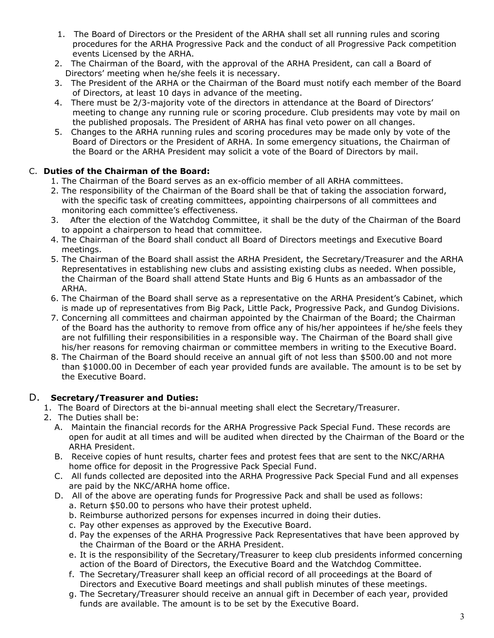- 1. The Board of Directors or the President of the ARHA shall set all running rules and scoring procedures for the ARHA Progressive Pack and the conduct of all Progressive Pack competition events Licensed by the ARHA.
- 2. The Chairman of the Board, with the approval of the ARHA President, can call a Board of Directors' meeting when he/she feels it is necessary.
- 3. The President of the ARHA or the Chairman of the Board must notify each member of the Board of Directors, at least 10 days in advance of the meeting.
- 4. There must be 2/3-majority vote of the directors in attendance at the Board of Directors' meeting to change any running rule or scoring procedure. Club presidents may vote by mail on the published proposals. The President of ARHA has final veto power on all changes.
- 5. Changes to the ARHA running rules and scoring procedures may be made only by vote of the Board of Directors or the President of ARHA. In some emergency situations, the Chairman of the Board or the ARHA President may solicit a vote of the Board of Directors by mail.

# C. **Duties of the Chairman of the Board:**

- 1. The Chairman of the Board serves as an ex-officio member of all ARHA committees.
- 2. The responsibility of the Chairman of the Board shall be that of taking the association forward, with the specific task of creating committees, appointing chairpersons of all committees and monitoring each committee's effectiveness.
- 3. After the election of the Watchdog Committee, it shall be the duty of the Chairman of the Board to appoint a chairperson to head that committee.
- 4. The Chairman of the Board shall conduct all Board of Directors meetings and Executive Board meetings.
- 5. The Chairman of the Board shall assist the ARHA President, the Secretary/Treasurer and the ARHA Representatives in establishing new clubs and assisting existing clubs as needed. When possible, the Chairman of the Board shall attend State Hunts and Big 6 Hunts as an ambassador of the ARHA.
- 6. The Chairman of the Board shall serve as a representative on the ARHA President's Cabinet, which is made up of representatives from Big Pack, Little Pack, Progressive Pack, and Gundog Divisions.
- 7. Concerning all committees and chairman appointed by the Chairman of the Board; the Chairman of the Board has the authority to remove from office any of his/her appointees if he/she feels they are not fulfilling their responsibilities in a responsible way. The Chairman of the Board shall give his/her reasons for removing chairman or committee members in writing to the Executive Board.
- 8. The Chairman of the Board should receive an annual gift of not less than \$500.00 and not more than \$1000.00 in December of each year provided funds are available. The amount is to be set by the Executive Board.

# D. **Secretary/Treasurer and Duties:**

- 1. The Board of Directors at the bi-annual meeting shall elect the Secretary/Treasurer.
- 2. The Duties shall be:
	- A. Maintain the financial records for the ARHA Progressive Pack Special Fund. These records are open for audit at all times and will be audited when directed by the Chairman of the Board or the ARHA President.
	- B. Receive copies of hunt results, charter fees and protest fees that are sent to the NKC/ARHA home office for deposit in the Progressive Pack Special Fund.
	- C. All funds collected are deposited into the ARHA Progressive Pack Special Fund and all expenses are paid by the NKC/ARHA home office.
	- D. All of the above are operating funds for Progressive Pack and shall be used as follows:
		- a. Return \$50.00 to persons who have their protest upheld.
		- b. Reimburse authorized persons for expenses incurred in doing their duties.
		- c. Pay other expenses as approved by the Executive Board.
		- d. Pay the expenses of the ARHA Progressive Pack Representatives that have been approved by the Chairman of the Board or the ARHA President.
		- e. It is the responsibility of the Secretary/Treasurer to keep club presidents informed concerning action of the Board of Directors, the Executive Board and the Watchdog Committee.
		- f. The Secretary/Treasurer shall keep an official record of all proceedings at the Board of Directors and Executive Board meetings and shall publish minutes of these meetings.
		- g. The Secretary/Treasurer should receive an annual gift in December of each year, provided funds are available. The amount is to be set by the Executive Board.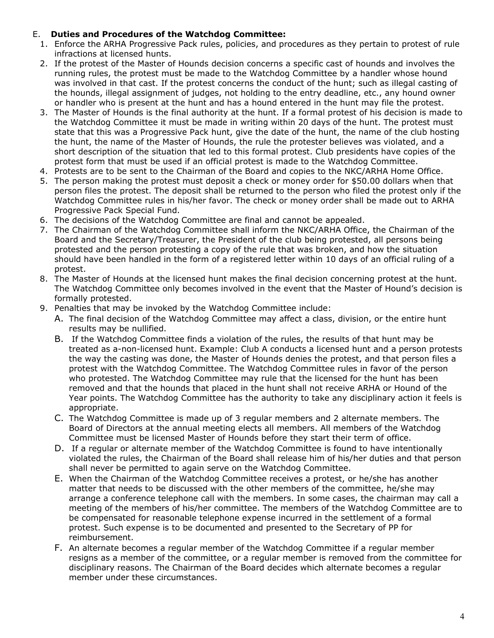#### E. **Duties and Procedures of the Watchdog Committee:**

- 1. Enforce the ARHA Progressive Pack rules, policies, and procedures as they pertain to protest of rule infractions at licensed hunts.
- 2. If the protest of the Master of Hounds decision concerns a specific cast of hounds and involves the running rules, the protest must be made to the Watchdog Committee by a handler whose hound was involved in that cast. If the protest concerns the conduct of the hunt; such as illegal casting of the hounds, illegal assignment of judges, not holding to the entry deadline, etc., any hound owner or handler who is present at the hunt and has a hound entered in the hunt may file the protest.
- 3. The Master of Hounds is the final authority at the hunt. If a formal protest of his decision is made to the Watchdog Committee it must be made in writing within 20 days of the hunt. The protest must state that this was a Progressive Pack hunt, give the date of the hunt, the name of the club hosting the hunt, the name of the Master of Hounds, the rule the protester believes was violated, and a short description of the situation that led to this formal protest. Club presidents have copies of the protest form that must be used if an official protest is made to the Watchdog Committee.
- 4. Protests are to be sent to the Chairman of the Board and copies to the NKC/ARHA Home Office.
- 5. The person making the protest must deposit a check or money order for \$50.00 dollars when that person files the protest. The deposit shall be returned to the person who filed the protest only if the Watchdog Committee rules in his/her favor. The check or money order shall be made out to ARHA Progressive Pack Special Fund.
- 6. The decisions of the Watchdog Committee are final and cannot be appealed.
- 7. The Chairman of the Watchdog Committee shall inform the NKC/ARHA Office, the Chairman of the Board and the Secretary/Treasurer, the President of the club being protested, all persons being protested and the person protesting a copy of the rule that was broken, and how the situation should have been handled in the form of a registered letter within 10 days of an official ruling of a protest.
- 8. The Master of Hounds at the licensed hunt makes the final decision concerning protest at the hunt. The Watchdog Committee only becomes involved in the event that the Master of Hound's decision is formally protested.
- 9. Penalties that may be invoked by the Watchdog Committee include:
	- A. The final decision of the Watchdog Committee may affect a class, division, or the entire hunt results may be nullified.
	- B. If the Watchdog Committee finds a violation of the rules, the results of that hunt may be treated as a-non-licensed hunt. Example: Club A conducts a licensed hunt and a person protests the way the casting was done, the Master of Hounds denies the protest, and that person files a protest with the Watchdog Committee. The Watchdog Committee rules in favor of the person who protested. The Watchdog Committee may rule that the licensed for the hunt has been removed and that the hounds that placed in the hunt shall not receive ARHA or Hound of the Year points. The Watchdog Committee has the authority to take any disciplinary action it feels is appropriate.
	- C. The Watchdog Committee is made up of 3 regular members and 2 alternate members. The Board of Directors at the annual meeting elects all members. All members of the Watchdog Committee must be licensed Master of Hounds before they start their term of office.
	- D. If a regular or alternate member of the Watchdog Committee is found to have intentionally violated the rules, the Chairman of the Board shall release him of his/her duties and that person shall never be permitted to again serve on the Watchdog Committee.
	- E. When the Chairman of the Watchdog Committee receives a protest, or he/she has another matter that needs to be discussed with the other members of the committee, he/she may arrange a conference telephone call with the members. In some cases, the chairman may call a meeting of the members of his/her committee. The members of the Watchdog Committee are to be compensated for reasonable telephone expense incurred in the settlement of a formal protest. Such expense is to be documented and presented to the Secretary of PP for reimbursement.
	- F. An alternate becomes a regular member of the Watchdog Committee if a regular member resigns as a member of the committee, or a regular member is removed from the committee for disciplinary reasons. The Chairman of the Board decides which alternate becomes a regular member under these circumstances.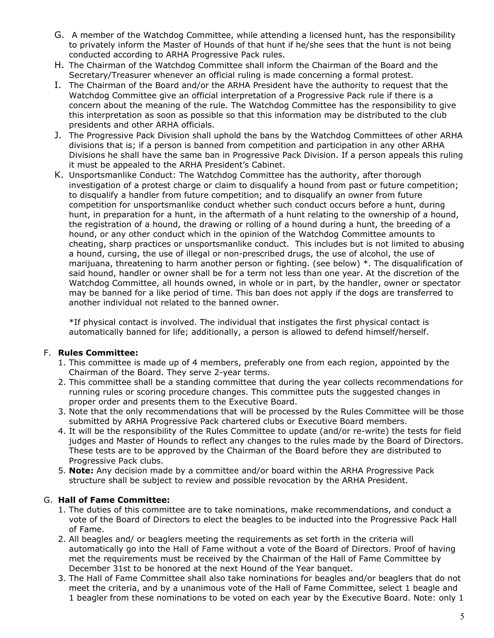- G. A member of the Watchdog Committee, while attending a licensed hunt, has the responsibility to privately inform the Master of Hounds of that hunt if he/she sees that the hunt is not being conducted according to ARHA Progressive Pack rules.
- H. The Chairman of the Watchdog Committee shall inform the Chairman of the Board and the Secretary/Treasurer whenever an official ruling is made concerning a formal protest.
- I. The Chairman of the Board and/or the ARHA President have the authority to request that the Watchdog Committee give an official interpretation of a Progressive Pack rule if there is a concern about the meaning of the rule. The Watchdog Committee has the responsibility to give this interpretation as soon as possible so that this information may be distributed to the club presidents and other ARHA officials.
- J. The Progressive Pack Division shall uphold the bans by the Watchdog Committees of other ARHA divisions that is; if a person is banned from competition and participation in any other ARHA Divisions he shall have the same ban in Progressive Pack Division. If a person appeals this ruling it must be appealed to the ARHA President's Cabinet.
- K. Unsportsmanlike Conduct: The Watchdog Committee has the authority, after thorough investigation of a protest charge or claim to disqualify a hound from past or future competition; to disqualify a handler from future competition; and to disqualify an owner from future competition for unsportsmanlike conduct whether such conduct occurs before a hunt, during hunt, in preparation for a hunt, in the aftermath of a hunt relating to the ownership of a hound, the registration of a hound, the drawing or rolling of a hound during a hunt, the breeding of a hound, or any other conduct which in the opinion of the Watchdog Committee amounts to cheating, sharp practices or unsportsmanlike conduct. This includes but is not limited to abusing a hound, cursing, the use of illegal or non-prescribed drugs, the use of alcohol, the use of marijuana, threatening to harm another person or fighting. (see below) \*. The disqualification of said hound, handler or owner shall be for a term not less than one year. At the discretion of the Watchdog Committee, all hounds owned, in whole or in part, by the handler, owner or spectator may be banned for a like period of time. This ban does not apply if the dogs are transferred to another individual not related to the banned owner.

\*If physical contact is involved. The individual that instigates the first physical contact is automatically banned for life; additionally, a person is allowed to defend himself/herself.

#### F. **Rules Committee:**

- 1. This committee is made up of 4 members, preferably one from each region, appointed by the Chairman of the Board. They serve 2-year terms.
- 2. This committee shall be a standing committee that during the year collects recommendations for running rules or scoring procedure changes. This committee puts the suggested changes in proper order and presents them to the Executive Board.
- 3. Note that the only recommendations that will be processed by the Rules Committee will be those submitted by ARHA Progressive Pack chartered clubs or Executive Board members.
- 4. It will be the responsibility of the Rules Committee to update (and/or re-write) the tests for field judges and Master of Hounds to reflect any changes to the rules made by the Board of Directors. These tests are to be approved by the Chairman of the Board before they are distributed to Progressive Pack clubs.
- 5. **Note:** Any decision made by a committee and/or board within the ARHA Progressive Pack structure shall be subject to review and possible revocation by the ARHA President.

#### G. **Hall of Fame Committee:**

- 1. The duties of this committee are to take nominations, make recommendations, and conduct a vote of the Board of Directors to elect the beagles to be inducted into the Progressive Pack Hall of Fame.
- 2. All beagles and/ or beaglers meeting the requirements as set forth in the criteria will automatically go into the Hall of Fame without a vote of the Board of Directors. Proof of having met the requirements must be received by the Chairman of the Hall of Fame Committee by December 31st to be honored at the next Hound of the Year banquet.
- 3. The Hall of Fame Committee shall also take nominations for beagles and/or beaglers that do not meet the criteria, and by a unanimous vote of the Hall of Fame Committee, select 1 beagle and 1 beagler from these nominations to be voted on each year by the Executive Board. Note: only 1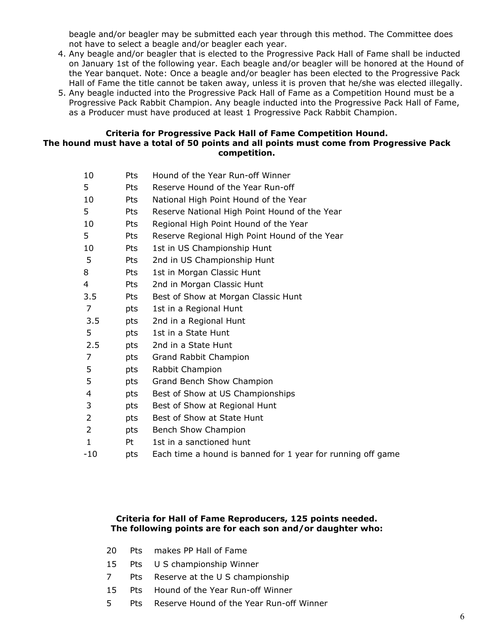beagle and/or beagler may be submitted each year through this method. The Committee does not have to select a beagle and/or beagler each year.

- 4. Any beagle and/or beagler that is elected to the Progressive Pack Hall of Fame shall be inducted on January 1st of the following year. Each beagle and/or beagler will be honored at the Hound of the Year banquet. Note: Once a beagle and/or beagler has been elected to the Progressive Pack Hall of Fame the title cannot be taken away, unless it is proven that he/she was elected illegally.
- 5. Any beagle inducted into the Progressive Pack Hall of Fame as a Competition Hound must be a Progressive Pack Rabbit Champion. Any beagle inducted into the Progressive Pack Hall of Fame, as a Producer must have produced at least 1 Progressive Pack Rabbit Champion.

#### **Criteria for Progressive Pack Hall of Fame Competition Hound. The hound must have a total of 50 points and all points must come from Progressive Pack competition.**

| 10             | Pts | Hound of the Year Run-off Winner                            |
|----------------|-----|-------------------------------------------------------------|
| 5              | Pts | Reserve Hound of the Year Run-off                           |
| 10             | Pts | National High Point Hound of the Year                       |
| 5              | Pts | Reserve National High Point Hound of the Year               |
| 10             | Pts | Regional High Point Hound of the Year                       |
| 5              | Pts | Reserve Regional High Point Hound of the Year               |
| 10             | Pts | 1st in US Championship Hunt                                 |
| 5              | Pts | 2nd in US Championship Hunt                                 |
| 8              | Pts | 1st in Morgan Classic Hunt                                  |
| 4              | Pts | 2nd in Morgan Classic Hunt                                  |
| 3.5            | Pts | Best of Show at Morgan Classic Hunt                         |
| 7              | pts | 1st in a Regional Hunt                                      |
| 3.5            | pts | 2nd in a Regional Hunt                                      |
| 5              | pts | 1st in a State Hunt                                         |
| 2.5            | pts | 2nd in a State Hunt                                         |
| $\overline{7}$ | pts | Grand Rabbit Champion                                       |
| 5              | pts | Rabbit Champion                                             |
| 5              | pts | Grand Bench Show Champion                                   |
| 4              | pts | Best of Show at US Championships                            |
| 3              | pts | Best of Show at Regional Hunt                               |
| 2              | pts | Best of Show at State Hunt                                  |
| 2              | pts | Bench Show Champion                                         |
| 1              | Pt  | 1st in a sanctioned hunt                                    |
| $-10$          | pts | Each time a hound is banned for 1 year for running off game |
|                |     |                                                             |

#### **Criteria for Hall of Fame Reproducers, 125 points needed. The following points are for each son and/or daughter who:**

|  |  |  | 20 Pts makes PP Hall of Fame |
|--|--|--|------------------------------|
|--|--|--|------------------------------|

- 15 Pts U S championship Winner
- 7 Pts Reserve at the U S championship
- 15 Pts Hound of the Year Run-off Winner
- 5 Pts Reserve Hound of the Year Run-off Winner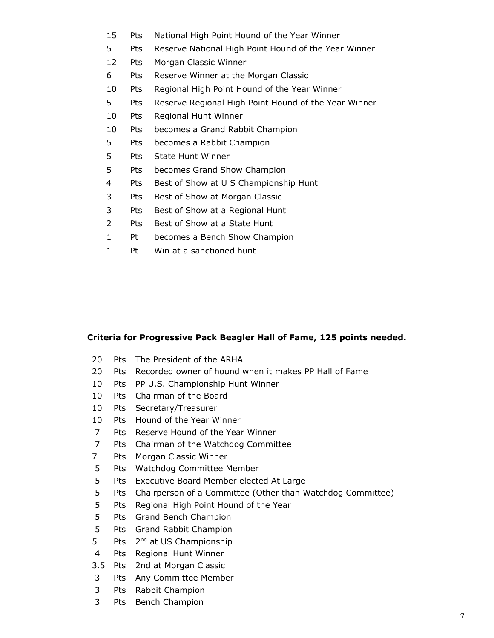- 15 Pts National High Point Hound of the Year Winner
- 5 Pts Reserve National High Point Hound of the Year Winner
- 12 Pts Morgan Classic Winner
- 6 Pts Reserve Winner at the Morgan Classic
- 10 Pts Regional High Point Hound of the Year Winner
- 5 Pts Reserve Regional High Point Hound of the Year Winner
- 10 Pts Regional Hunt Winner
- 10 Pts becomes a Grand Rabbit Champion
- 5 Pts becomes a Rabbit Champion
- 5 Pts State Hunt Winner
- 5 Pts becomes Grand Show Champion
- 4 Pts Best of Show at U S Championship Hunt
- 3 Pts Best of Show at Morgan Classic
- 3 Pts Best of Show at a Regional Hunt
- 2 Pts Best of Show at a State Hunt
- 1 Pt becomes a Bench Show Champion
- 1 Pt Win at a sanctioned hunt

#### **Criteria for Progressive Pack Beagler Hall of Fame, 125 points needed.**

- 20 Pts The President of the ARHA
- 20 Pts Recorded owner of hound when it makes PP Hall of Fame
- 10 Pts PP U.S. Championship Hunt Winner
- 10 Pts Chairman of the Board
- 10 Pts Secretary/Treasurer
- 10 Pts Hound of the Year Winner
- 7 Pts Reserve Hound of the Year Winner
- 7 Pts Chairman of the Watchdog Committee
- 7 Pts Morgan Classic Winner
- 5 Pts Watchdog Committee Member
- 5 Pts Executive Board Member elected At Large
- 5 Pts Chairperson of a Committee (Other than Watchdog Committee)
- 5 Pts Regional High Point Hound of the Year
- 5 Pts Grand Bench Champion
- 5 Pts Grand Rabbit Champion
- 5 Pts 2<sup>nd</sup> at US Championship
- 4 Pts Regional Hunt Winner
- 3.5 Pts 2nd at Morgan Classic
- 3 Pts Any Committee Member
- 3 Pts Rabbit Champion
- 3 Pts Bench Champion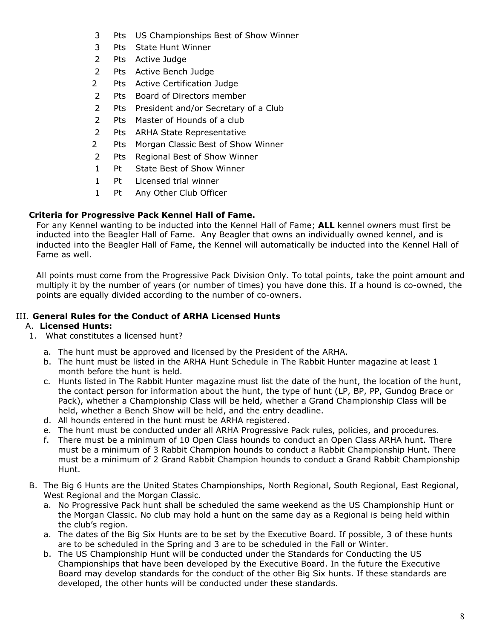- 3 Pts US Championships Best of Show Winner
- 3 Pts State Hunt Winner
- 2 Pts Active Judge
- 2 Pts Active Bench Judge
- 2 Pts Active Certification Judge
- 2 Pts Board of Directors member
- 2 Pts President and/or Secretary of a Club
- 2 Pts Master of Hounds of a club
- 2 Pts ARHA State Representative
- 2 Pts Morgan Classic Best of Show Winner
- 2 Pts Regional Best of Show Winner
- 1 Pt State Best of Show Winner
- 1 Pt Licensed trial winner
- 1 Pt Any Other Club Officer

#### **Criteria for Progressive Pack Kennel Hall of Fame.**

For any Kennel wanting to be inducted into the Kennel Hall of Fame; **ALL** kennel owners must first be inducted into the Beagler Hall of Fame. Any Beagler that owns an individually owned kennel, and is inducted into the Beagler Hall of Fame, the Kennel will automatically be inducted into the Kennel Hall of Fame as well.

All points must come from the Progressive Pack Division Only. To total points, take the point amount and multiply it by the number of years (or number of times) you have done this. If a hound is co-owned, the points are equally divided according to the number of co-owners.

#### III. **General Rules for the Conduct of ARHA Licensed Hunts**

#### A. **Licensed Hunts:**

- 1. What constitutes a licensed hunt?
	- a. The hunt must be approved and licensed by the President of the ARHA.
	- b. The hunt must be listed in the ARHA Hunt Schedule in The Rabbit Hunter magazine at least 1 month before the hunt is held.
	- c. Hunts listed in The Rabbit Hunter magazine must list the date of the hunt, the location of the hunt, the contact person for information about the hunt, the type of hunt (LP, BP, PP, Gundog Brace or Pack), whether a Championship Class will be held, whether a Grand Championship Class will be held, whether a Bench Show will be held, and the entry deadline.
	- d. All hounds entered in the hunt must be ARHA registered.
	- e. The hunt must be conducted under all ARHA Progressive Pack rules, policies, and procedures.
	- f. There must be a minimum of 10 Open Class hounds to conduct an Open Class ARHA hunt. There must be a minimum of 3 Rabbit Champion hounds to conduct a Rabbit Championship Hunt. There must be a minimum of 2 Grand Rabbit Champion hounds to conduct a Grand Rabbit Championship Hunt.
- B. The Big 6 Hunts are the United States Championships, North Regional, South Regional, East Regional, West Regional and the Morgan Classic.
	- a. No Progressive Pack hunt shall be scheduled the same weekend as the US Championship Hunt or the Morgan Classic. No club may hold a hunt on the same day as a Regional is being held within the club's region.
	- a. The dates of the Big Six Hunts are to be set by the Executive Board. If possible, 3 of these hunts are to be scheduled in the Spring and 3 are to be scheduled in the Fall or Winter.
	- b. The US Championship Hunt will be conducted under the Standards for Conducting the US Championships that have been developed by the Executive Board. In the future the Executive Board may develop standards for the conduct of the other Big Six hunts. If these standards are developed, the other hunts will be conducted under these standards.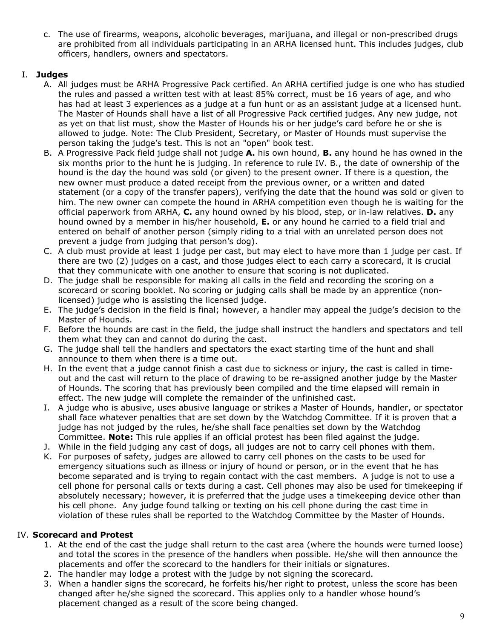c. The use of firearms, weapons, alcoholic beverages, marijuana, and illegal or non-prescribed drugs are prohibited from all individuals participating in an ARHA licensed hunt. This includes judges, club officers, handlers, owners and spectators.

#### I. **Judges**

- A. All judges must be ARHA Progressive Pack certified. An ARHA certified judge is one who has studied the rules and passed a written test with at least 85% correct, must be 16 years of age, and who has had at least 3 experiences as a judge at a fun hunt or as an assistant judge at a licensed hunt. The Master of Hounds shall have a list of all Progressive Pack certified judges. Any new judge, not as yet on that list must, show the Master of Hounds his or her judge's card before he or she is allowed to judge. Note: The Club President, Secretary, or Master of Hounds must supervise the person taking the judge's test. This is not an "open" book test.
- B. A Progressive Pack field judge shall not judge **A.** his own hound, **B.** any hound he has owned in the six months prior to the hunt he is judging. In reference to rule IV. B., the date of ownership of the hound is the day the hound was sold (or given) to the present owner. If there is a question, the new owner must produce a dated receipt from the previous owner, or a written and dated statement (or a copy of the transfer papers), verifying the date that the hound was sold or given to him. The new owner can compete the hound in ARHA competition even though he is waiting for the official paperwork from ARHA, **C.** any hound owned by his blood, step, or in-law relatives. **D.** any hound owned by a member in his/her household, **E.** or any hound he carried to a field trial and entered on behalf of another person (simply riding to a trial with an unrelated person does not prevent a judge from judging that person's dog).
- C. A club must provide at least 1 judge per cast, but may elect to have more than 1 judge per cast. If there are two (2) judges on a cast, and those judges elect to each carry a scorecard, it is crucial that they communicate with one another to ensure that scoring is not duplicated.
- D. The judge shall be responsible for making all calls in the field and recording the scoring on a scorecard or scoring booklet. No scoring or judging calls shall be made by an apprentice (nonlicensed) judge who is assisting the licensed judge.
- E. The judge's decision in the field is final; however, a handler may appeal the judge's decision to the Master of Hounds.
- F. Before the hounds are cast in the field, the judge shall instruct the handlers and spectators and tell them what they can and cannot do during the cast.
- G. The judge shall tell the handlers and spectators the exact starting time of the hunt and shall announce to them when there is a time out.
- H. In the event that a judge cannot finish a cast due to sickness or injury, the cast is called in timeout and the cast will return to the place of drawing to be re-assigned another judge by the Master of Hounds. The scoring that has previously been compiled and the time elapsed will remain in effect. The new judge will complete the remainder of the unfinished cast.
- I. A judge who is abusive, uses abusive language or strikes a Master of Hounds, handler, or spectator shall face whatever penalties that are set down by the Watchdog Committee. If it is proven that a judge has not judged by the rules, he/she shall face penalties set down by the Watchdog Committee. **Note:** This rule applies if an official protest has been filed against the judge.
- J. While in the field judging any cast of dogs, all judges are not to carry cell phones with them.
- K. For purposes of safety, judges are allowed to carry cell phones on the casts to be used for emergency situations such as illness or injury of hound or person, or in the event that he has become separated and is trying to regain contact with the cast members. A judge is not to use a cell phone for personal calls or texts during a cast. Cell phones may also be used for timekeeping if absolutely necessary; however, it is preferred that the judge uses a timekeeping device other than his cell phone. Any judge found talking or texting on his cell phone during the cast time in violation of these rules shall be reported to the Watchdog Committee by the Master of Hounds.

#### IV. **Scorecard and Protest**

- 1. At the end of the cast the judge shall return to the cast area (where the hounds were turned loose) and total the scores in the presence of the handlers when possible. He/she will then announce the placements and offer the scorecard to the handlers for their initials or signatures.
- 2. The handler may lodge a protest with the judge by not signing the scorecard.
- 3. When a handler signs the scorecard, he forfeits his/her right to protest, unless the score has been changed after he/she signed the scorecard. This applies only to a handler whose hound's placement changed as a result of the score being changed.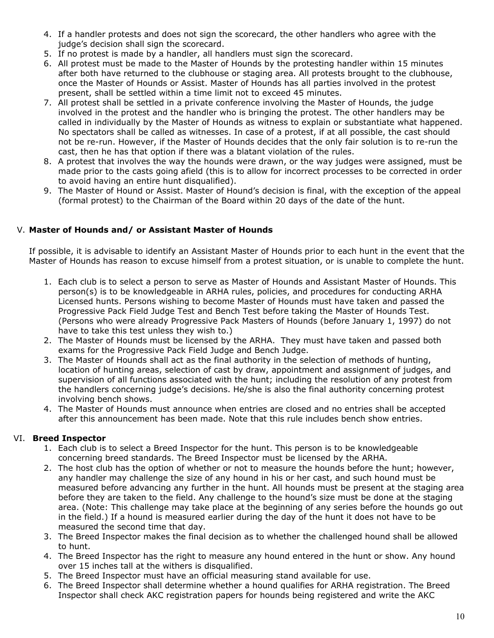- 4. If a handler protests and does not sign the scorecard, the other handlers who agree with the judge's decision shall sign the scorecard.
- 5. If no protest is made by a handler, all handlers must sign the scorecard.
- 6. All protest must be made to the Master of Hounds by the protesting handler within 15 minutes after both have returned to the clubhouse or staging area. All protests brought to the clubhouse, once the Master of Hounds or Assist. Master of Hounds has all parties involved in the protest present, shall be settled within a time limit not to exceed 45 minutes.
- 7. All protest shall be settled in a private conference involving the Master of Hounds, the judge involved in the protest and the handler who is bringing the protest. The other handlers may be called in individually by the Master of Hounds as witness to explain or substantiate what happened. No spectators shall be called as witnesses. In case of a protest, if at all possible, the cast should not be re-run. However, if the Master of Hounds decides that the only fair solution is to re-run the cast, then he has that option if there was a blatant violation of the rules.
- 8. A protest that involves the way the hounds were drawn, or the way judges were assigned, must be made prior to the casts going afield (this is to allow for incorrect processes to be corrected in order to avoid having an entire hunt disqualified).
- 9. The Master of Hound or Assist. Master of Hound's decision is final, with the exception of the appeal (formal protest) to the Chairman of the Board within 20 days of the date of the hunt.

# V. **Master of Hounds and/ or Assistant Master of Hounds**

If possible, it is advisable to identify an Assistant Master of Hounds prior to each hunt in the event that the Master of Hounds has reason to excuse himself from a protest situation, or is unable to complete the hunt.

- 1. Each club is to select a person to serve as Master of Hounds and Assistant Master of Hounds. This person(s) is to be knowledgeable in ARHA rules, policies, and procedures for conducting ARHA Licensed hunts. Persons wishing to become Master of Hounds must have taken and passed the Progressive Pack Field Judge Test and Bench Test before taking the Master of Hounds Test. (Persons who were already Progressive Pack Masters of Hounds (before January 1, 1997) do not have to take this test unless they wish to.)
- 2. The Master of Hounds must be licensed by the ARHA. They must have taken and passed both exams for the Progressive Pack Field Judge and Bench Judge.
- 3. The Master of Hounds shall act as the final authority in the selection of methods of hunting, location of hunting areas, selection of cast by draw, appointment and assignment of judges, and supervision of all functions associated with the hunt; including the resolution of any protest from the handlers concerning judge's decisions. He/she is also the final authority concerning protest involving bench shows.
- 4. The Master of Hounds must announce when entries are closed and no entries shall be accepted after this announcement has been made. Note that this rule includes bench show entries.

### VI. **Breed Inspector**

- 1. Each club is to select a Breed Inspector for the hunt. This person is to be knowledgeable concerning breed standards. The Breed Inspector must be licensed by the ARHA.
- 2. The host club has the option of whether or not to measure the hounds before the hunt; however, any handler may challenge the size of any hound in his or her cast, and such hound must be measured before advancing any further in the hunt. All hounds must be present at the staging area before they are taken to the field. Any challenge to the hound's size must be done at the staging area. (Note: This challenge may take place at the beginning of any series before the hounds go out in the field.) If a hound is measured earlier during the day of the hunt it does not have to be measured the second time that day.
- 3. The Breed Inspector makes the final decision as to whether the challenged hound shall be allowed to hunt.
- 4. The Breed Inspector has the right to measure any hound entered in the hunt or show. Any hound over 15 inches tall at the withers is disqualified.
- 5. The Breed Inspector must have an official measuring stand available for use.
- 6. The Breed Inspector shall determine whether a hound qualifies for ARHA registration. The Breed Inspector shall check AKC registration papers for hounds being registered and write the AKC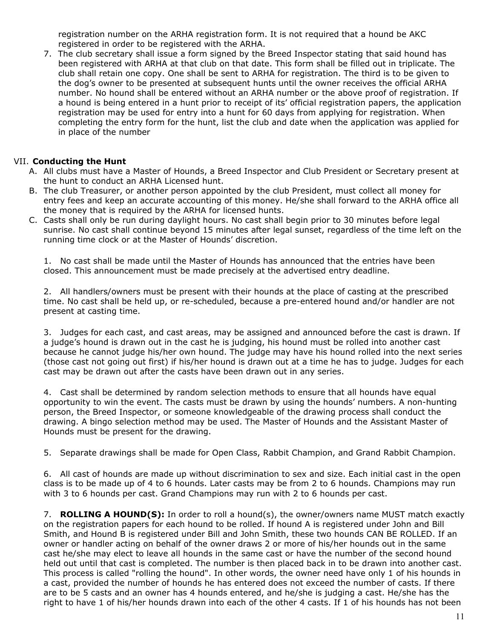registration number on the ARHA registration form. It is not required that a hound be AKC registered in order to be registered with the ARHA.

7. The club secretary shall issue a form signed by the Breed Inspector stating that said hound has been registered with ARHA at that club on that date. This form shall be filled out in triplicate. The club shall retain one copy. One shall be sent to ARHA for registration. The third is to be given to the dog's owner to be presented at subsequent hunts until the owner receives the official ARHA number. No hound shall be entered without an ARHA number or the above proof of registration. If a hound is being entered in a hunt prior to receipt of its' official registration papers, the application registration may be used for entry into a hunt for 60 days from applying for registration. When completing the entry form for the hunt, list the club and date when the application was applied for in place of the number

### VII. **Conducting the Hunt**

- A. All clubs must have a Master of Hounds, a Breed Inspector and Club President or Secretary present at the hunt to conduct an ARHA Licensed hunt.
- B. The club Treasurer, or another person appointed by the club President, must collect all money for entry fees and keep an accurate accounting of this money. He/she shall forward to the ARHA office all the money that is required by the ARHA for licensed hunts.
- C. Casts shall only be run during daylight hours. No cast shall begin prior to 30 minutes before legal sunrise. No cast shall continue beyond 15 minutes after legal sunset, regardless of the time left on the running time clock or at the Master of Hounds' discretion.

1. No cast shall be made until the Master of Hounds has announced that the entries have been closed. This announcement must be made precisely at the advertised entry deadline.

2. All handlers/owners must be present with their hounds at the place of casting at the prescribed time. No cast shall be held up, or re-scheduled, because a pre-entered hound and/or handler are not present at casting time.

3. Judges for each cast, and cast areas, may be assigned and announced before the cast is drawn. If a judge's hound is drawn out in the cast he is judging, his hound must be rolled into another cast because he cannot judge his/her own hound. The judge may have his hound rolled into the next series (those cast not going out first) if his/her hound is drawn out at a time he has to judge. Judges for each cast may be drawn out after the casts have been drawn out in any series.

4. Cast shall be determined by random selection methods to ensure that all hounds have equal opportunity to win the event. The casts must be drawn by using the hounds' numbers. A non-hunting person, the Breed Inspector, or someone knowledgeable of the drawing process shall conduct the drawing. A bingo selection method may be used. The Master of Hounds and the Assistant Master of Hounds must be present for the drawing.

5. Separate drawings shall be made for Open Class, Rabbit Champion, and Grand Rabbit Champion.

6. All cast of hounds are made up without discrimination to sex and size. Each initial cast in the open class is to be made up of 4 to 6 hounds. Later casts may be from 2 to 6 hounds. Champions may run with 3 to 6 hounds per cast. Grand Champions may run with 2 to 6 hounds per cast.

7. **ROLLING A HOUND(S):** In order to roll a hound(s), the owner/owners name MUST match exactly on the registration papers for each hound to be rolled. If hound A is registered under John and Bill Smith, and Hound B is registered under Bill and John Smith, these two hounds CAN BE ROLLED. If an owner or handler acting on behalf of the owner draws 2 or more of his/her hounds out in the same cast he/she may elect to leave all hounds in the same cast or have the number of the second hound held out until that cast is completed. The number is then placed back in to be drawn into another cast. This process is called "rolling the hound". In other words, the owner need have only 1 of his hounds in a cast, provided the number of hounds he has entered does not exceed the number of casts. If there are to be 5 casts and an owner has 4 hounds entered, and he/she is judging a cast. He/she has the right to have 1 of his/her hounds drawn into each of the other 4 casts. If 1 of his hounds has not been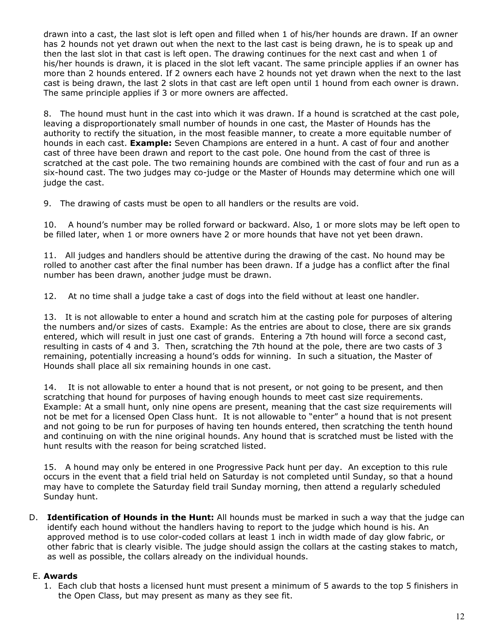drawn into a cast, the last slot is left open and filled when 1 of his/her hounds are drawn. If an owner has 2 hounds not yet drawn out when the next to the last cast is being drawn, he is to speak up and then the last slot in that cast is left open. The drawing continues for the next cast and when 1 of his/her hounds is drawn, it is placed in the slot left vacant. The same principle applies if an owner has more than 2 hounds entered. If 2 owners each have 2 hounds not yet drawn when the next to the last cast is being drawn, the last 2 slots in that cast are left open until 1 hound from each owner is drawn. The same principle applies if 3 or more owners are affected.

8. The hound must hunt in the cast into which it was drawn. If a hound is scratched at the cast pole, leaving a disproportionately small number of hounds in one cast, the Master of Hounds has the authority to rectify the situation, in the most feasible manner, to create a more equitable number of hounds in each cast. **Example:** Seven Champions are entered in a hunt. A cast of four and another cast of three have been drawn and report to the cast pole. One hound from the cast of three is scratched at the cast pole. The two remaining hounds are combined with the cast of four and run as a six-hound cast. The two judges may co-judge or the Master of Hounds may determine which one will judge the cast.

9. The drawing of casts must be open to all handlers or the results are void.

10. A hound's number may be rolled forward or backward. Also, 1 or more slots may be left open to be filled later, when 1 or more owners have 2 or more hounds that have not yet been drawn.

11. All judges and handlers should be attentive during the drawing of the cast. No hound may be rolled to another cast after the final number has been drawn. If a judge has a conflict after the final number has been drawn, another judge must be drawn.

12. At no time shall a judge take a cast of dogs into the field without at least one handler.

13. It is not allowable to enter a hound and scratch him at the casting pole for purposes of altering the numbers and/or sizes of casts. Example: As the entries are about to close, there are six grands entered, which will result in just one cast of grands. Entering a 7th hound will force a second cast, resulting in casts of 4 and 3. Then, scratching the 7th hound at the pole, there are two casts of 3 remaining, potentially increasing a hound's odds for winning. In such a situation, the Master of Hounds shall place all six remaining hounds in one cast.

14. It is not allowable to enter a hound that is not present, or not going to be present, and then scratching that hound for purposes of having enough hounds to meet cast size requirements. Example: At a small hunt, only nine opens are present, meaning that the cast size requirements will not be met for a licensed Open Class hunt. It is not allowable to "enter" a hound that is not present and not going to be run for purposes of having ten hounds entered, then scratching the tenth hound and continuing on with the nine original hounds. Any hound that is scratched must be listed with the hunt results with the reason for being scratched listed.

15. A hound may only be entered in one Progressive Pack hunt per day. An exception to this rule occurs in the event that a field trial held on Saturday is not completed until Sunday, so that a hound may have to complete the Saturday field trail Sunday morning, then attend a regularly scheduled Sunday hunt.

D. **Identification of Hounds in the Hunt:** All hounds must be marked in such a way that the judge can identify each hound without the handlers having to report to the judge which hound is his. An approved method is to use color-coded collars at least 1 inch in width made of day glow fabric, or other fabric that is clearly visible. The judge should assign the collars at the casting stakes to match, as well as possible, the collars already on the individual hounds.

#### E. **Awards**

1. Each club that hosts a licensed hunt must present a minimum of 5 awards to the top 5 finishers in the Open Class, but may present as many as they see fit.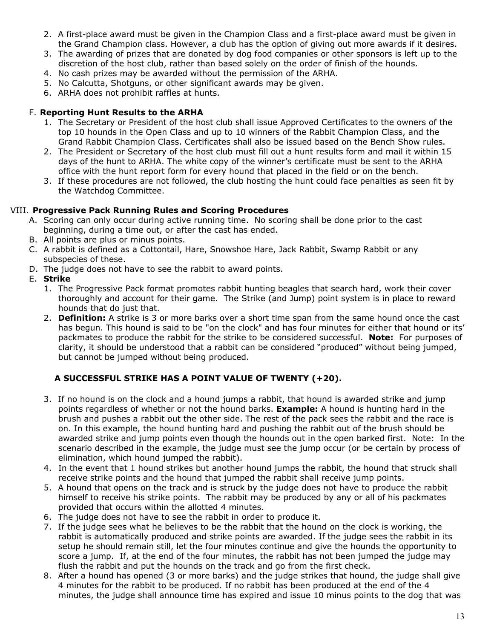- 2. A first-place award must be given in the Champion Class and a first-place award must be given in the Grand Champion class. However, a club has the option of giving out more awards if it desires.
- 3. The awarding of prizes that are donated by dog food companies or other sponsors is left up to the discretion of the host club, rather than based solely on the order of finish of the hounds.
- 4. No cash prizes may be awarded without the permission of the ARHA.
- 5. No Calcutta, Shotguns, or other significant awards may be given.
- 6. ARHA does not prohibit raffles at hunts.

#### F. **Reporting Hunt Results to the ARHA**

- 1. The Secretary or President of the host club shall issue Approved Certificates to the owners of the top 10 hounds in the Open Class and up to 10 winners of the Rabbit Champion Class, and the Grand Rabbit Champion Class. Certificates shall also be issued based on the Bench Show rules.
- 2. The President or Secretary of the host club must fill out a hunt results form and mail it within 15 days of the hunt to ARHA. The white copy of the winner's certificate must be sent to the ARHA office with the hunt report form for every hound that placed in the field or on the bench.
- 3. If these procedures are not followed, the club hosting the hunt could face penalties as seen fit by the Watchdog Committee.

#### VIII. **Progressive Pack Running Rules and Scoring Procedures**

- A. Scoring can only occur during active running time. No scoring shall be done prior to the cast beginning, during a time out, or after the cast has ended.
- B. All points are plus or minus points.
- C. A rabbit is defined as a Cottontail, Hare, Snowshoe Hare, Jack Rabbit, Swamp Rabbit or any subspecies of these.
- D. The judge does not have to see the rabbit to award points.
- E. **Strike**
	- 1. The Progressive Pack format promotes rabbit hunting beagles that search hard, work their cover thoroughly and account for their game. The Strike (and Jump) point system is in place to reward hounds that do just that.
	- 2. **Definition:** A strike is 3 or more barks over a short time span from the same hound once the cast has begun. This hound is said to be "on the clock" and has four minutes for either that hound or its' packmates to produce the rabbit for the strike to be considered successful. **Note:** For purposes of clarity, it should be understood that a rabbit can be considered "produced" without being jumped, but cannot be jumped without being produced.

### **A SUCCESSFUL STRIKE HAS A POINT VALUE OF TWENTY (+20).**

- 3. If no hound is on the clock and a hound jumps a rabbit, that hound is awarded strike and jump points regardless of whether or not the hound barks. **Example:** A hound is hunting hard in the brush and pushes a rabbit out the other side. The rest of the pack sees the rabbit and the race is on. In this example, the hound hunting hard and pushing the rabbit out of the brush should be awarded strike and jump points even though the hounds out in the open barked first. Note: In the scenario described in the example, the judge must see the jump occur (or be certain by process of elimination, which hound jumped the rabbit).
- 4. In the event that 1 hound strikes but another hound jumps the rabbit, the hound that struck shall receive strike points and the hound that jumped the rabbit shall receive jump points.
- 5. A hound that opens on the track and is struck by the judge does not have to produce the rabbit himself to receive his strike points. The rabbit may be produced by any or all of his packmates provided that occurs within the allotted 4 minutes.
- 6. The judge does not have to see the rabbit in order to produce it.
- 7. If the judge sees what he believes to be the rabbit that the hound on the clock is working, the rabbit is automatically produced and strike points are awarded. If the judge sees the rabbit in its setup he should remain still, let the four minutes continue and give the hounds the opportunity to score a jump. If, at the end of the four minutes, the rabbit has not been jumped the judge may flush the rabbit and put the hounds on the track and go from the first check.
- 8. After a hound has opened (3 or more barks) and the judge strikes that hound, the judge shall give 4 minutes for the rabbit to be produced. If no rabbit has been produced at the end of the 4 minutes, the judge shall announce time has expired and issue 10 minus points to the dog that was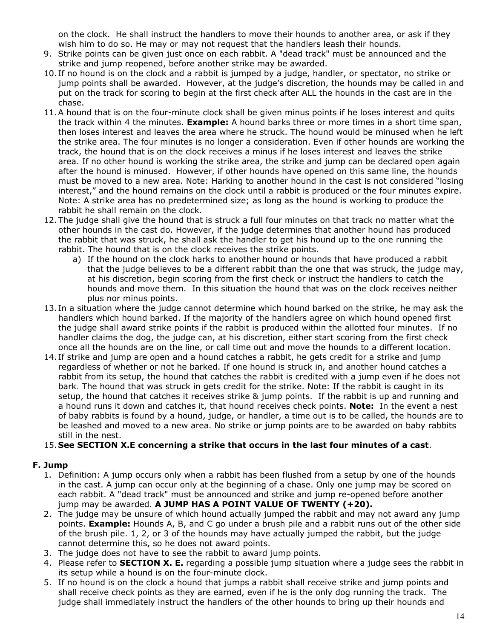on the clock. He shall instruct the handlers to move their hounds to another area, or ask if they wish him to do so. He may or may not request that the handlers leash their hounds.

- 9. Strike points can be given just once on each rabbit. A "dead track" must be announced and the strike and jump reopened, before another strike may be awarded.
- 10. If no hound is on the clock and a rabbit is jumped by a judge, handler, or spectator, no strike or jump points shall be awarded. However, at the judge's discretion, the hounds may be called in and put on the track for scoring to begin at the first check after ALL the hounds in the cast are in the chase.
- 11.A hound that is on the four-minute clock shall be given minus points if he loses interest and quits the track within 4 the minutes. **Example:** A hound barks three or more times in a short time span, then loses interest and leaves the area where he struck. The hound would be minused when he left the strike area. The four minutes is no longer a consideration. Even if other hounds are working the track, the hound that is on the clock receives a minus if he loses interest and leaves the strike area. If no other hound is working the strike area, the strike and jump can be declared open again after the hound is minused. However, if other hounds have opened on this same line, the hounds must be moved to a new area. Note: Harking to another hound in the cast is not considered "losing interest," and the hound remains on the clock until a rabbit is produced or the four minutes expire. Note: A strike area has no predetermined size; as long as the hound is working to produce the rabbit he shall remain on the clock.
- 12. The judge shall give the hound that is struck a full four minutes on that track no matter what the other hounds in the cast do. However, if the judge determines that another hound has produced the rabbit that was struck, he shall ask the handler to get his hound up to the one running the rabbit. The hound that is on the clock receives the strike points.
	- a) If the hound on the clock harks to another hound or hounds that have produced a rabbit that the judge believes to be a different rabbit than the one that was struck, the judge may, at his discretion, begin scoring from the first check or instruct the handlers to catch the hounds and move them. In this situation the hound that was on the clock receives neither plus nor minus points.
- 13. In a situation where the judge cannot determine which hound barked on the strike, he may ask the handlers which hound barked. If the majority of the handlers agree on which hound opened first the judge shall award strike points if the rabbit is produced within the allotted four minutes. If no handler claims the dog, the judge can, at his discretion, either start scoring from the first check once all the hounds are on the line, or call time out and move the hounds to a different location.
- 14. If strike and jump are open and a hound catches a rabbit, he gets credit for a strike and jump regardless of whether or not he barked. If one hound is struck in, and another hound catches a rabbit from its setup, the hound that catches the rabbit is credited with a jump even if he does not bark. The hound that was struck in gets credit for the strike. Note: If the rabbit is caught in its setup, the hound that catches it receives strike & jump points. If the rabbit is up and running and a hound runs it down and catches it, that hound receives check points. **Note:** In the event a nest of baby rabbits is found by a hound, judge, or handler, a time out is to be called, the hounds are to be leashed and moved to a new area. No strike or jump points are to be awarded on baby rabbits still in the nest.

#### 15.**See SECTION X.E concerning a strike that occurs in the last four minutes of a cast**.

### **F. Jump**

- 1. Definition: A jump occurs only when a rabbit has been flushed from a setup by one of the hounds in the cast. A jump can occur only at the beginning of a chase. Only one jump may be scored on each rabbit. A "dead track" must be announced and strike and jump re-opened before another jump may be awarded. **A JUMP HAS A POINT VALUE OF TWENTY (+20).**
- 2. The judge may be unsure of which hound actually jumped the rabbit and may not award any jump points. **Example:** Hounds A, B, and C go under a brush pile and a rabbit runs out of the other side of the brush pile. 1, 2, or 3 of the hounds may have actually jumped the rabbit, but the judge cannot determine this, so he does not award points.
- 3. The judge does not have to see the rabbit to award jump points.
- 4. Please refer to **SECTION X. E.** regarding a possible jump situation where a judge sees the rabbit in its setup while a hound is on the four-minute clock.
- 5. If no hound is on the clock a hound that jumps a rabbit shall receive strike and jump points and shall receive check points as they are earned, even if he is the only dog running the track. The judge shall immediately instruct the handlers of the other hounds to bring up their hounds and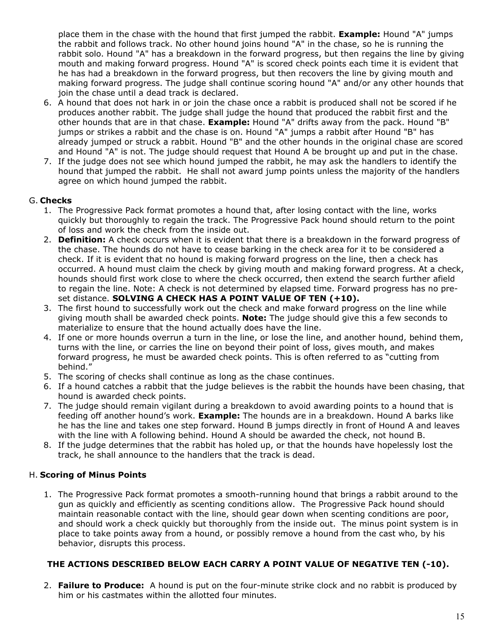place them in the chase with the hound that first jumped the rabbit. **Example:** Hound "A" jumps the rabbit and follows track. No other hound joins hound "A" in the chase, so he is running the rabbit solo. Hound "A" has a breakdown in the forward progress, but then regains the line by giving mouth and making forward progress. Hound "A" is scored check points each time it is evident that he has had a breakdown in the forward progress, but then recovers the line by giving mouth and making forward progress. The judge shall continue scoring hound "A" and/or any other hounds that join the chase until a dead track is declared.

- 6. A hound that does not hark in or join the chase once a rabbit is produced shall not be scored if he produces another rabbit. The judge shall judge the hound that produced the rabbit first and the other hounds that are in that chase. **Example:** Hound "A" drifts away from the pack. Hound "B" jumps or strikes a rabbit and the chase is on. Hound "A" jumps a rabbit after Hound "B" has already jumped or struck a rabbit. Hound "B" and the other hounds in the original chase are scored and Hound "A" is not. The judge should request that Hound A be brought up and put in the chase.
- 7. If the judge does not see which hound jumped the rabbit, he may ask the handlers to identify the hound that jumped the rabbit. He shall not award jump points unless the majority of the handlers agree on which hound jumped the rabbit.

#### G. **Checks**

- 1. The Progressive Pack format promotes a hound that, after losing contact with the line, works quickly but thoroughly to regain the track. The Progressive Pack hound should return to the point of loss and work the check from the inside out.
- 2. **Definition:** A check occurs when it is evident that there is a breakdown in the forward progress of the chase. The hounds do not have to cease barking in the check area for it to be considered a check. If it is evident that no hound is making forward progress on the line, then a check has occurred. A hound must claim the check by giving mouth and making forward progress. At a check, hounds should first work close to where the check occurred, then extend the search further afield to regain the line. Note: A check is not determined by elapsed time. Forward progress has no preset distance. **SOLVING A CHECK HAS A POINT VALUE OF TEN (+10).**
- 3. The first hound to successfully work out the check and make forward progress on the line while giving mouth shall be awarded check points. **Note:** The judge should give this a few seconds to materialize to ensure that the hound actually does have the line.
- 4. If one or more hounds overrun a turn in the line, or lose the line, and another hound, behind them, turns with the line, or carries the line on beyond their point of loss, gives mouth, and makes forward progress, he must be awarded check points. This is often referred to as "cutting from behind."
- 5. The scoring of checks shall continue as long as the chase continues.
- 6. If a hound catches a rabbit that the judge believes is the rabbit the hounds have been chasing, that hound is awarded check points.
- 7. The judge should remain vigilant during a breakdown to avoid awarding points to a hound that is feeding off another hound's work. **Example:** The hounds are in a breakdown. Hound A barks like he has the line and takes one step forward. Hound B jumps directly in front of Hound A and leaves with the line with A following behind. Hound A should be awarded the check, not hound B.
- 8. If the judge determines that the rabbit has holed up, or that the hounds have hopelessly lost the track, he shall announce to the handlers that the track is dead.

### H. **Scoring of Minus Points**

1. The Progressive Pack format promotes a smooth-running hound that brings a rabbit around to the gun as quickly and efficiently as scenting conditions allow. The Progressive Pack hound should maintain reasonable contact with the line, should gear down when scenting conditions are poor, and should work a check quickly but thoroughly from the inside out. The minus point system is in place to take points away from a hound, or possibly remove a hound from the cast who, by his behavior, disrupts this process.

### **THE ACTIONS DESCRIBED BELOW EACH CARRY A POINT VALUE OF NEGATIVE TEN (-10).**

2. **Failure to Produce:** A hound is put on the four-minute strike clock and no rabbit is produced by him or his castmates within the allotted four minutes.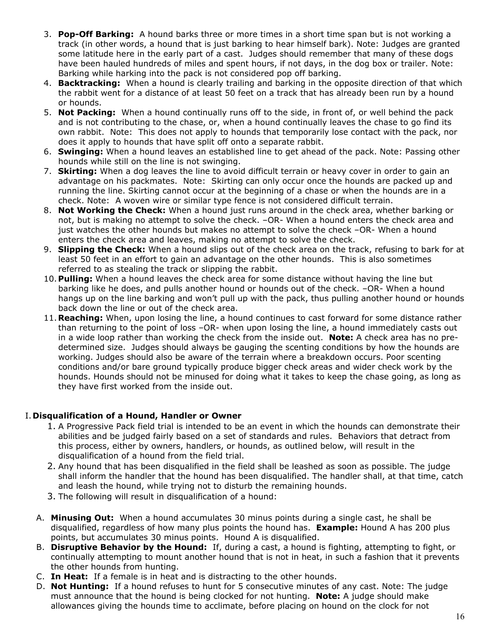- 3. **Pop-Off Barking:** A hound barks three or more times in a short time span but is not working a track (in other words, a hound that is just barking to hear himself bark). Note: Judges are granted some latitude here in the early part of a cast. Judges should remember that many of these dogs have been hauled hundreds of miles and spent hours, if not days, in the dog box or trailer. Note: Barking while harking into the pack is not considered pop off barking.
- 4. **Backtracking:** When a hound is clearly trailing and barking in the opposite direction of that which the rabbit went for a distance of at least 50 feet on a track that has already been run by a hound or hounds.
- 5. **Not Packing:** When a hound continually runs off to the side, in front of, or well behind the pack and is not contributing to the chase, or, when a hound continually leaves the chase to go find its own rabbit. Note: This does not apply to hounds that temporarily lose contact with the pack, nor does it apply to hounds that have split off onto a separate rabbit.
- 6. **Swinging:** When a hound leaves an established line to get ahead of the pack. Note: Passing other hounds while still on the line is not swinging.
- 7. **Skirting:** When a dog leaves the line to avoid difficult terrain or heavy cover in order to gain an advantage on his packmates. Note: Skirting can only occur once the hounds are packed up and running the line. Skirting cannot occur at the beginning of a chase or when the hounds are in a check. Note: A woven wire or similar type fence is not considered difficult terrain.
- 8. **Not Working the Check:** When a hound just runs around in the check area, whether barking or not, but is making no attempt to solve the check. –OR- When a hound enters the check area and just watches the other hounds but makes no attempt to solve the check –OR- When a hound enters the check area and leaves, making no attempt to solve the check.
- 9. **Slipping the Check:** When a hound slips out of the check area on the track, refusing to bark for at least 50 feet in an effort to gain an advantage on the other hounds. This is also sometimes referred to as stealing the track or slipping the rabbit.
- 10.**Pulling:** When a hound leaves the check area for some distance without having the line but barking like he does, and pulls another hound or hounds out of the check. –OR- When a hound hangs up on the line barking and won't pull up with the pack, thus pulling another hound or hounds back down the line or out of the check area.
- 11.**Reaching:** When, upon losing the line, a hound continues to cast forward for some distance rather than returning to the point of loss –OR- when upon losing the line, a hound immediately casts out in a wide loop rather than working the check from the inside out. **Note:** A check area has no predetermined size. Judges should always be gauging the scenting conditions by how the hounds are working. Judges should also be aware of the terrain where a breakdown occurs. Poor scenting conditions and/or bare ground typically produce bigger check areas and wider check work by the hounds. Hounds should not be minused for doing what it takes to keep the chase going, as long as they have first worked from the inside out.

### I. **Disqualification of a Hound, Handler or Owner**

- 1. A Progressive Pack field trial is intended to be an event in which the hounds can demonstrate their abilities and be judged fairly based on a set of standards and rules. Behaviors that detract from this process, either by owners, handlers, or hounds, as outlined below, will result in the disqualification of a hound from the field trial.
- 2. Any hound that has been disqualified in the field shall be leashed as soon as possible. The judge shall inform the handler that the hound has been disqualified. The handler shall, at that time, catch and leash the hound, while trying not to disturb the remaining hounds.
- 3. The following will result in disqualification of a hound:
- A. **Minusing Out:** When a hound accumulates 30 minus points during a single cast, he shall be disqualified, regardless of how many plus points the hound has. **Example:** Hound A has 200 plus points, but accumulates 30 minus points. Hound A is disqualified.
- B. **Disruptive Behavior by the Hound:** If, during a cast, a hound is fighting, attempting to fight, or continually attempting to mount another hound that is not in heat, in such a fashion that it prevents the other hounds from hunting.
- C. **In Heat:** If a female is in heat and is distracting to the other hounds.
- D. **Not Hunting:** If a hound refuses to hunt for 5 consecutive minutes of any cast. Note: The judge must announce that the hound is being clocked for not hunting. **Note:** A judge should make allowances giving the hounds time to acclimate, before placing on hound on the clock for not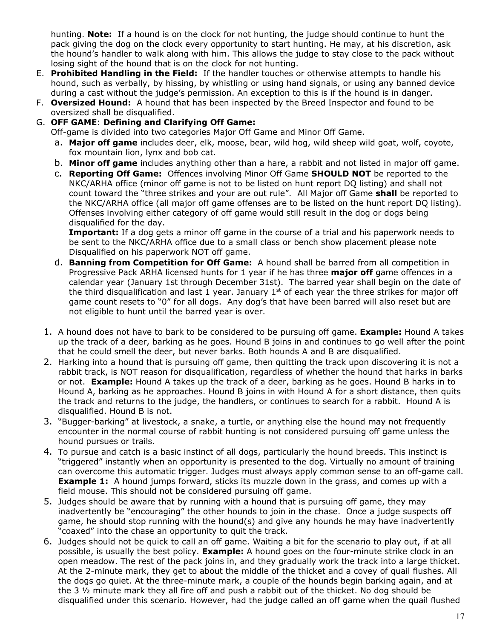hunting. **Note:** If a hound is on the clock for not hunting, the judge should continue to hunt the pack giving the dog on the clock every opportunity to start hunting. He may, at his discretion, ask the hound's handler to walk along with him. This allows the judge to stay close to the pack without losing sight of the hound that is on the clock for not hunting.

- E. **Prohibited Handling in the Field:** If the handler touches or otherwise attempts to handle his hound, such as verbally, by hissing, by whistling or using hand signals, or using any banned device during a cast without the judge's permission. An exception to this is if the hound is in danger.
- F. **Oversized Hound:** A hound that has been inspected by the Breed Inspector and found to be oversized shall be disqualified.
- G. **OFF GAME**: **Defining and Clarifying Off Game:**

Off-game is divided into two categories Major Off Game and Minor Off Game.

- a. **Major off game** includes deer, elk, moose, bear, wild hog, wild sheep wild goat, wolf, coyote, fox mountain lion, lynx and bob cat.
- b. **Minor off game** includes anything other than a hare, a rabbit and not listed in major off game.
- c. **Reporting Off Game:** Offences involving Minor Off Game **SHOULD NOT** be reported to the NKC/ARHA office (minor off game is not to be listed on hunt report DQ listing) and shall not count toward the "three strikes and your are out rule". All Major off Game **shall** be reported to the NKC/ARHA office (all major off game offenses are to be listed on the hunt report DQ listing). Offenses involving either category of off game would still result in the dog or dogs being disqualified for the day.

**Important:** If a dog gets a minor off game in the course of a trial and his paperwork needs to be sent to the NKC/ARHA office due to a small class or bench show placement please note Disqualified on his paperwork NOT off game.

- d. **Banning from Competition for Off Game:** A hound shall be barred from all competition in Progressive Pack ARHA licensed hunts for 1 year if he has three **major off** game offences in a calendar year (January 1st through December 31st). The barred year shall begin on the date of the third disqualification and last 1 year. January  $1<sup>st</sup>$  of each year the three strikes for major off game count resets to "0" for all dogs. Any dog's that have been barred will also reset but are not eligible to hunt until the barred year is over.
- 1. A hound does not have to bark to be considered to be pursuing off game. **Example:** Hound A takes up the track of a deer, barking as he goes. Hound B joins in and continues to go well after the point that he could smell the deer, but never barks. Both hounds A and B are disqualified.
- 2. Harking into a hound that is pursuing off game, then quitting the track upon discovering it is not a rabbit track, is NOT reason for disqualification, regardless of whether the hound that harks in barks or not. **Example:** Hound A takes up the track of a deer, barking as he goes. Hound B harks in to Hound A, barking as he approaches. Hound B joins in with Hound A for a short distance, then quits the track and returns to the judge, the handlers, or continues to search for a rabbit. Hound A is disqualified. Hound B is not.
- 3. "Bugger-barking" at livestock, a snake, a turtle, or anything else the hound may not frequently encounter in the normal course of rabbit hunting is not considered pursuing off game unless the hound pursues or trails.
- 4. To pursue and catch is a basic instinct of all dogs, particularly the hound breeds. This instinct is "triggered" instantly when an opportunity is presented to the dog. Virtually no amount of training can overcome this automatic trigger. Judges must always apply common sense to an off-game call. **Example 1:** A hound jumps forward, sticks its muzzle down in the grass, and comes up with a field mouse. This should not be considered pursuing off game.
- 5. Judges should be aware that by running with a hound that is pursuing off game, they may inadvertently be "encouraging" the other hounds to join in the chase. Once a judge suspects off game, he should stop running with the hound(s) and give any hounds he may have inadvertently "coaxed" into the chase an opportunity to quit the track.
- 6. Judges should not be quick to call an off game. Waiting a bit for the scenario to play out, if at all possible, is usually the best policy. **Example:** A hound goes on the four-minute strike clock in an open meadow. The rest of the pack joins in, and they gradually work the track into a large thicket. At the 2-minute mark, they get to about the middle of the thicket and a covey of quail flushes. All the dogs go quiet. At the three-minute mark, a couple of the hounds begin barking again, and at the 3 ½ minute mark they all fire off and push a rabbit out of the thicket. No dog should be disqualified under this scenario. However, had the judge called an off game when the quail flushed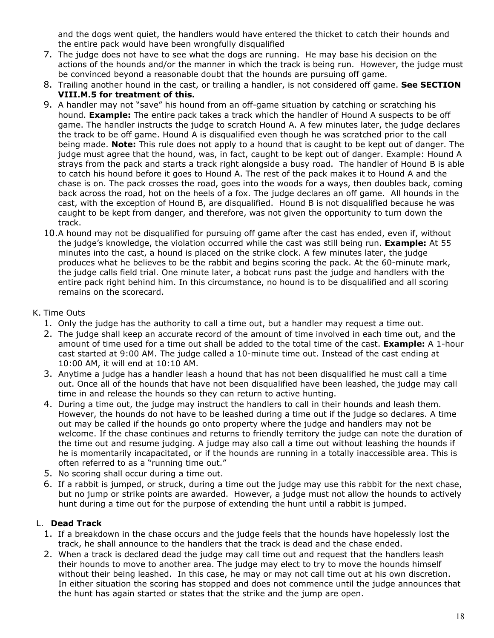and the dogs went quiet, the handlers would have entered the thicket to catch their hounds and the entire pack would have been wrongfully disqualified

- 7. The judge does not have to see what the dogs are running. He may base his decision on the actions of the hounds and/or the manner in which the track is being run. However, the judge must be convinced beyond a reasonable doubt that the hounds are pursuing off game.
- 8. Trailing another hound in the cast, or trailing a handler, is not considered off game. **See SECTION VIII.M.5 for treatment of this.**
- 9. A handler may not "save" his hound from an off-game situation by catching or scratching his hound. **Example:** The entire pack takes a track which the handler of Hound A suspects to be off game. The handler instructs the judge to scratch Hound A. A few minutes later, the judge declares the track to be off game. Hound A is disqualified even though he was scratched prior to the call being made. **Note:** This rule does not apply to a hound that is caught to be kept out of danger. The judge must agree that the hound, was, in fact, caught to be kept out of danger. Example: Hound A strays from the pack and starts a track right alongside a busy road. The handler of Hound B is able to catch his hound before it goes to Hound A. The rest of the pack makes it to Hound A and the chase is on. The pack crosses the road, goes into the woods for a ways, then doubles back, coming back across the road, hot on the heels of a fox. The judge declares an off game. All hounds in the cast, with the exception of Hound B, are disqualified. Hound B is not disqualified because he was caught to be kept from danger, and therefore, was not given the opportunity to turn down the track.
- 10.A hound may not be disqualified for pursuing off game after the cast has ended, even if, without the judge's knowledge, the violation occurred while the cast was still being run. **Example:** At 55 minutes into the cast, a hound is placed on the strike clock. A few minutes later, the judge produces what he believes to be the rabbit and begins scoring the pack. At the 60-minute mark, the judge calls field trial. One minute later, a bobcat runs past the judge and handlers with the entire pack right behind him. In this circumstance, no hound is to be disqualified and all scoring remains on the scorecard.

#### K. Time Outs

- 1. Only the judge has the authority to call a time out, but a handler may request a time out.
- 2. The judge shall keep an accurate record of the amount of time involved in each time out, and the amount of time used for a time out shall be added to the total time of the cast. **Example:** A 1-hour cast started at 9:00 AM. The judge called a 10-minute time out. Instead of the cast ending at 10:00 AM, it will end at 10:10 AM.
- 3. Anytime a judge has a handler leash a hound that has not been disqualified he must call a time out. Once all of the hounds that have not been disqualified have been leashed, the judge may call time in and release the hounds so they can return to active hunting.
- 4. During a time out, the judge may instruct the handlers to call in their hounds and leash them. However, the hounds do not have to be leashed during a time out if the judge so declares. A time out may be called if the hounds go onto property where the judge and handlers may not be welcome. If the chase continues and returns to friendly territory the judge can note the duration of the time out and resume judging. A judge may also call a time out without leashing the hounds if he is momentarily incapacitated, or if the hounds are running in a totally inaccessible area. This is often referred to as a "running time out."
- 5. No scoring shall occur during a time out.
- 6. If a rabbit is jumped, or struck, during a time out the judge may use this rabbit for the next chase, but no jump or strike points are awarded. However, a judge must not allow the hounds to actively hunt during a time out for the purpose of extending the hunt until a rabbit is jumped.

### L. **Dead Track**

- 1. If a breakdown in the chase occurs and the judge feels that the hounds have hopelessly lost the track, he shall announce to the handlers that the track is dead and the chase ended.
- 2. When a track is declared dead the judge may call time out and request that the handlers leash their hounds to move to another area. The judge may elect to try to move the hounds himself without their being leashed. In this case, he may or may not call time out at his own discretion. In either situation the scoring has stopped and does not commence until the judge announces that the hunt has again started or states that the strike and the jump are open.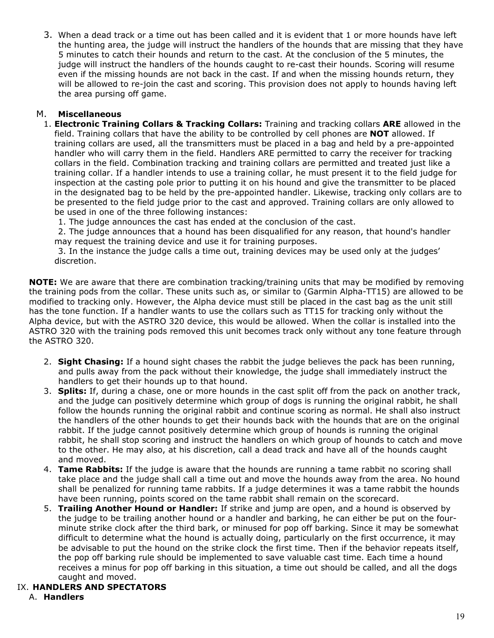3. When a dead track or a time out has been called and it is evident that 1 or more hounds have left the hunting area, the judge will instruct the handlers of the hounds that are missing that they have 5 minutes to catch their hounds and return to the cast. At the conclusion of the 5 minutes, the judge will instruct the handlers of the hounds caught to re-cast their hounds. Scoring will resume even if the missing hounds are not back in the cast. If and when the missing hounds return, they will be allowed to re-join the cast and scoring. This provision does not apply to hounds having left the area pursing off game.

#### M. **Miscellaneous**

1. **Electronic Training Collars & Tracking Collars:** Training and tracking collars **ARE** allowed in the field. Training collars that have the ability to be controlled by cell phones are **NOT** allowed. If training collars are used, all the transmitters must be placed in a bag and held by a pre-appointed handler who will carry them in the field. Handlers ARE permitted to carry the receiver for tracking collars in the field. Combination tracking and training collars are permitted and treated just like a training collar. If a handler intends to use a training collar, he must present it to the field judge for inspection at the casting pole prior to putting it on his hound and give the transmitter to be placed in the designated bag to be held by the pre-appointed handler. Likewise, tracking only collars are to be presented to the field judge prior to the cast and approved. Training collars are only allowed to be used in one of the three following instances:

1. The judge announces the cast has ended at the conclusion of the cast.

 2. The judge announces that a hound has been disqualified for any reason, that hound's handler may request the training device and use it for training purposes.

 3. In the instance the judge calls a time out, training devices may be used only at the judges' discretion.

**NOTE:** We are aware that there are combination tracking/training units that may be modified by removing the training pods from the collar. These units such as, or similar to (Garmin Alpha-TT15) are allowed to be modified to tracking only. However, the Alpha device must still be placed in the cast bag as the unit still has the tone function. If a handler wants to use the collars such as TT15 for tracking only without the Alpha device, but with the ASTRO 320 device, this would be allowed. When the collar is installed into the ASTRO 320 with the training pods removed this unit becomes track only without any tone feature through the ASTRO 320.

- 2. **Sight Chasing:** If a hound sight chases the rabbit the judge believes the pack has been running, and pulls away from the pack without their knowledge, the judge shall immediately instruct the handlers to get their hounds up to that hound.
- 3. **Splits:** If, during a chase, one or more hounds in the cast split off from the pack on another track, and the judge can positively determine which group of dogs is running the original rabbit, he shall follow the hounds running the original rabbit and continue scoring as normal. He shall also instruct the handlers of the other hounds to get their hounds back with the hounds that are on the original rabbit. If the judge cannot positively determine which group of hounds is running the original rabbit, he shall stop scoring and instruct the handlers on which group of hounds to catch and move to the other. He may also, at his discretion, call a dead track and have all of the hounds caught and moved.
- 4. **Tame Rabbits:** If the judge is aware that the hounds are running a tame rabbit no scoring shall take place and the judge shall call a time out and move the hounds away from the area. No hound shall be penalized for running tame rabbits. If a judge determines it was a tame rabbit the hounds have been running, points scored on the tame rabbit shall remain on the scorecard.
- 5. **Trailing Another Hound or Handler:** If strike and jump are open, and a hound is observed by the judge to be trailing another hound or a handler and barking, he can either be put on the fourminute strike clock after the third bark, or minused for pop off barking. Since it may be somewhat difficult to determine what the hound is actually doing, particularly on the first occurrence, it may be advisable to put the hound on the strike clock the first time. Then if the behavior repeats itself, the pop off barking rule should be implemented to save valuable cast time. Each time a hound receives a minus for pop off barking in this situation, a time out should be called, and all the dogs caught and moved.

#### IX. **HANDLERS AND SPECTATORS**

A. **Handlers**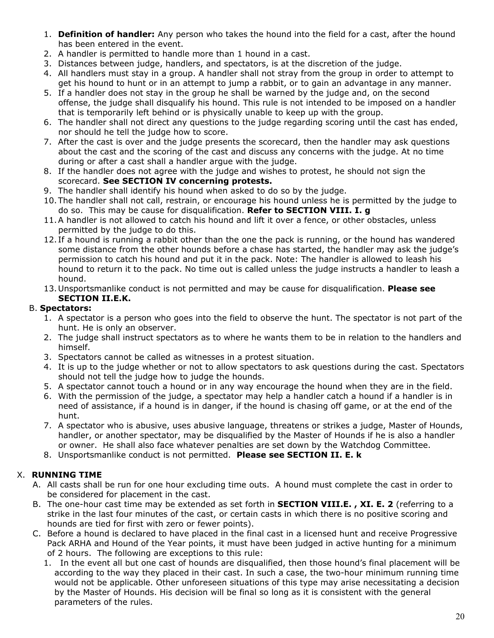- 1. **Definition of handler:** Any person who takes the hound into the field for a cast, after the hound has been entered in the event.
- 2. A handler is permitted to handle more than 1 hound in a cast.
- 3. Distances between judge, handlers, and spectators, is at the discretion of the judge.
- 4. All handlers must stay in a group. A handler shall not stray from the group in order to attempt to get his hound to hunt or in an attempt to jump a rabbit, or to gain an advantage in any manner.
- 5. If a handler does not stay in the group he shall be warned by the judge and, on the second offense, the judge shall disqualify his hound. This rule is not intended to be imposed on a handler that is temporarily left behind or is physically unable to keep up with the group.
- 6. The handler shall not direct any questions to the judge regarding scoring until the cast has ended, nor should he tell the judge how to score.
- 7. After the cast is over and the judge presents the scorecard, then the handler may ask questions about the cast and the scoring of the cast and discuss any concerns with the judge. At no time during or after a cast shall a handler argue with the judge.
- 8. If the handler does not agree with the judge and wishes to protest, he should not sign the scorecard. **See SECTION IV concerning protests.**
- 9. The handler shall identify his hound when asked to do so by the judge.
- 10.The handler shall not call, restrain, or encourage his hound unless he is permitted by the judge to do so. This may be cause for disqualification. **Refer to SECTION VIII. I. g**
- 11.A handler is not allowed to catch his hound and lift it over a fence, or other obstacles, unless permitted by the judge to do this.
- 12. If a hound is running a rabbit other than the one the pack is running, or the hound has wandered some distance from the other hounds before a chase has started, the handler may ask the judge's permission to catch his hound and put it in the pack. Note: The handler is allowed to leash his hound to return it to the pack. No time out is called unless the judge instructs a handler to leash a hound.
- 13.Unsportsmanlike conduct is not permitted and may be cause for disqualification. **Please see SECTION II.E.K.**

### B. **Spectators:**

- 1. A spectator is a person who goes into the field to observe the hunt. The spectator is not part of the hunt. He is only an observer.
- 2. The judge shall instruct spectators as to where he wants them to be in relation to the handlers and himself.
- 3. Spectators cannot be called as witnesses in a protest situation.
- 4. It is up to the judge whether or not to allow spectators to ask questions during the cast. Spectators should not tell the judge how to judge the hounds.
- 5. A spectator cannot touch a hound or in any way encourage the hound when they are in the field.
- 6. With the permission of the judge, a spectator may help a handler catch a hound if a handler is in need of assistance, if a hound is in danger, if the hound is chasing off game, or at the end of the hunt.
- 7. A spectator who is abusive, uses abusive language, threatens or strikes a judge, Master of Hounds, handler, or another spectator, may be disqualified by the Master of Hounds if he is also a handler or owner. He shall also face whatever penalties are set down by the Watchdog Committee.
- 8. Unsportsmanlike conduct is not permitted. **Please see SECTION II. E. k**

# X. **RUNNING TIME**

- A. All casts shall be run for one hour excluding time outs. A hound must complete the cast in order to be considered for placement in the cast.
- B. The one-hour cast time may be extended as set forth in **SECTION VIII.E. , XI. E. 2** (referring to a strike in the last four minutes of the cast, or certain casts in which there is no positive scoring and hounds are tied for first with zero or fewer points).
- C. Before a hound is declared to have placed in the final cast in a licensed hunt and receive Progressive Pack ARHA and Hound of the Year points, it must have been judged in active hunting for a minimum of 2 hours. The following are exceptions to this rule:
	- 1. In the event all but one cast of hounds are disqualified, then those hound's final placement will be according to the way they placed in their cast. In such a case, the two-hour minimum running time would not be applicable. Other unforeseen situations of this type may arise necessitating a decision by the Master of Hounds. His decision will be final so long as it is consistent with the general parameters of the rules.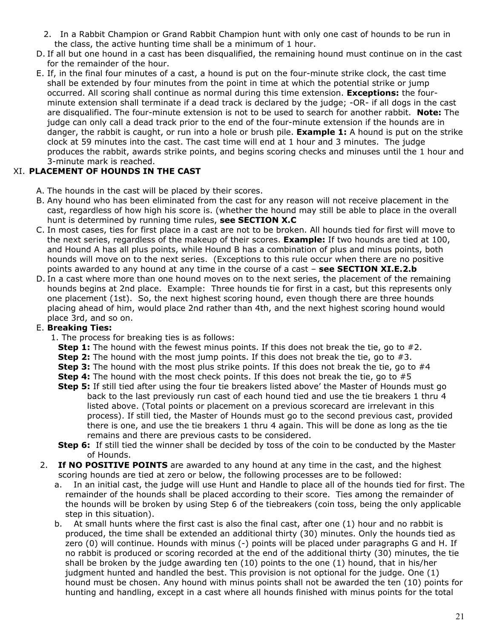- 2. In a Rabbit Champion or Grand Rabbit Champion hunt with only one cast of hounds to be run in the class, the active hunting time shall be a minimum of 1 hour.
- D. If all but one hound in a cast has been disqualified, the remaining hound must continue on in the cast for the remainder of the hour.
- E. If, in the final four minutes of a cast, a hound is put on the four-minute strike clock, the cast time shall be extended by four minutes from the point in time at which the potential strike or jump occurred. All scoring shall continue as normal during this time extension. **Exceptions:** the fourminute extension shall terminate if a dead track is declared by the judge; -OR- if all dogs in the cast are disqualified. The four-minute extension is not to be used to search for another rabbit. **Note:** The judge can only call a dead track prior to the end of the four-minute extension if the hounds are in danger, the rabbit is caught, or run into a hole or brush pile. **Example 1:** A hound is put on the strike clock at 59 minutes into the cast. The cast time will end at 1 hour and 3 minutes. The judge produces the rabbit, awards strike points, and begins scoring checks and minuses until the 1 hour and 3-minute mark is reached.

# XI. **PLACEMENT OF HOUNDS IN THE CAST**

- A. The hounds in the cast will be placed by their scores.
- B. Any hound who has been eliminated from the cast for any reason will not receive placement in the cast, regardless of how high his score is. (whether the hound may still be able to place in the overall hunt is determined by running time rules, **see SECTION X.C**
- C. In most cases, ties for first place in a cast are not to be broken. All hounds tied for first will move to the next series, regardless of the makeup of their scores. **Example:** If two hounds are tied at 100, and Hound A has all plus points, while Hound B has a combination of plus and minus points, both hounds will move on to the next series. (Exceptions to this rule occur when there are no positive points awarded to any hound at any time in the course of a cast – **see SECTION XI.E.2.b**
- D. In a cast where more than one hound moves on to the next series, the placement of the remaining hounds begins at 2nd place. Example: Three hounds tie for first in a cast, but this represents only one placement (1st). So, the next highest scoring hound, even though there are three hounds placing ahead of him, would place 2nd rather than 4th, and the next highest scoring hound would place 3rd, and so on.

### E. **Breaking Ties:**

- 1. The process for breaking ties is as follows:
	- **Step 1:** The hound with the fewest minus points. If this does not break the tie, go to #2.
	- **Step 2:** The hound with the most jump points. If this does not break the tie, go to #3.
	- **Step 3:** The hound with the most plus strike points. If this does not break the tie, go to #4
	- **Step 4:** The hound with the most check points. If this does not break the tie, go to #5
	- **Step 5:** If still tied after using the four tie breakers listed above' the Master of Hounds must go back to the last previously run cast of each hound tied and use the tie breakers 1 thru 4 listed above. (Total points or placement on a previous scorecard are irrelevant in this process). If still tied, the Master of Hounds must go to the second previous cast, provided there is one, and use the tie breakers 1 thru 4 again. This will be done as long as the tie remains and there are previous casts to be considered.
	- **Step 6:** If still tied the winner shall be decided by toss of the coin to be conducted by the Master of Hounds.
- 2. **If NO POSITIVE POINTS** are awarded to any hound at any time in the cast, and the highest scoring hounds are tied at zero or below, the following processes are to be followed:
	- a. In an initial cast, the judge will use Hunt and Handle to place all of the hounds tied for first. The remainder of the hounds shall be placed according to their score. Ties among the remainder of the hounds will be broken by using Step 6 of the tiebreakers (coin toss, being the only applicable step in this situation).
	- b. At small hunts where the first cast is also the final cast, after one (1) hour and no rabbit is produced, the time shall be extended an additional thirty (30) minutes. Only the hounds tied as zero (0) will continue. Hounds with minus (-) points will be placed under paragraphs G and H. If no rabbit is produced or scoring recorded at the end of the additional thirty (30) minutes, the tie shall be broken by the judge awarding ten (10) points to the one (1) hound, that in his/her judgment hunted and handled the best. This provision is not optional for the judge. One (1) hound must be chosen. Any hound with minus points shall not be awarded the ten (10) points for hunting and handling, except in a cast where all hounds finished with minus points for the total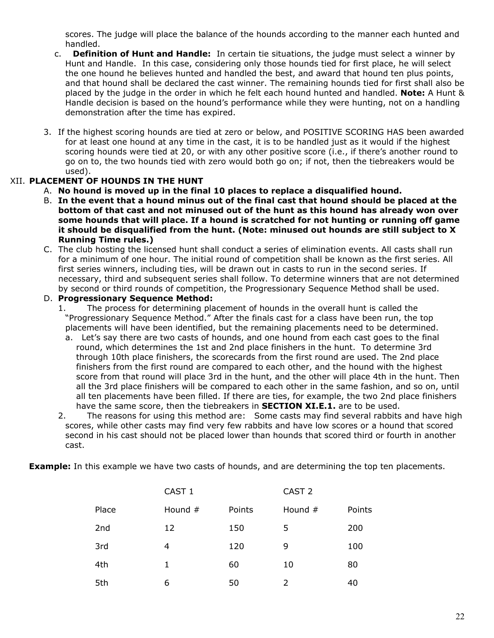scores. The judge will place the balance of the hounds according to the manner each hunted and handled.

- c. **Definition of Hunt and Handle:** In certain tie situations, the judge must select a winner by Hunt and Handle. In this case, considering only those hounds tied for first place, he will select the one hound he believes hunted and handled the best, and award that hound ten plus points, and that hound shall be declared the cast winner. The remaining hounds tied for first shall also be placed by the judge in the order in which he felt each hound hunted and handled. **Note:** A Hunt & Handle decision is based on the hound's performance while they were hunting, not on a handling demonstration after the time has expired.
- 3. If the highest scoring hounds are tied at zero or below, and POSITIVE SCORING HAS been awarded for at least one hound at any time in the cast, it is to be handled just as it would if the highest scoring hounds were tied at 20, or with any other positive score (i.e., if there's another round to go on to, the two hounds tied with zero would both go on; if not, then the tiebreakers would be used).

### XII. **PLACEMENT OF HOUNDS IN THE HUNT**

- A. **No hound is moved up in the final 10 places to replace a disqualified hound.**
- B. **In the event that a hound minus out of the final cast that hound should be placed at the bottom of that cast and not minused out of the hunt as this hound has already won over some hounds that will place. If a hound is scratched for not hunting or running off game it should be disqualified from the hunt. (Note: minused out hounds are still subject to X Running Time rules.)**
- C. The club hosting the licensed hunt shall conduct a series of elimination events. All casts shall run for a minimum of one hour. The initial round of competition shall be known as the first series. All first series winners, including ties, will be drawn out in casts to run in the second series. If necessary, third and subsequent series shall follow. To determine winners that are not determined by second or third rounds of competition, the Progressionary Sequence Method shall be used.

#### D. **Progressionary Sequence Method:**

- 1. The process for determining placement of hounds in the overall hunt is called the "Progressionary Sequence Method." After the finals cast for a class have been run, the top placements will have been identified, but the remaining placements need to be determined.
	- a. Let's say there are two casts of hounds, and one hound from each cast goes to the final round, which determines the 1st and 2nd place finishers in the hunt. To determine 3rd through 10th place finishers, the scorecards from the first round are used. The 2nd place finishers from the first round are compared to each other, and the hound with the highest score from that round will place 3rd in the hunt, and the other will place 4th in the hunt. Then all the 3rd place finishers will be compared to each other in the same fashion, and so on, until all ten placements have been filled. If there are ties, for example, the two 2nd place finishers have the same score, then the tiebreakers in **SECTION XI.E.1.** are to be used.
- 2. The reasons for using this method are: Some casts may find several rabbits and have high scores, while other casts may find very few rabbits and have low scores or a hound that scored second in his cast should not be placed lower than hounds that scored third or fourth in another cast.

**Example:** In this example we have two casts of hounds, and are determining the top ten placements.

|       | CAST <sub>1</sub> |        | CAST <sub>2</sub> |        |  |
|-------|-------------------|--------|-------------------|--------|--|
| Place | Hound #           | Points | Hound #           | Points |  |
| 2nd   | 12                | 150    | 5                 | 200    |  |
| 3rd   | 4                 | 120    | 9                 | 100    |  |
| 4th   | 1                 | 60     | 10                | 80     |  |
| 5th   | 6                 | 50     | 2                 | 40     |  |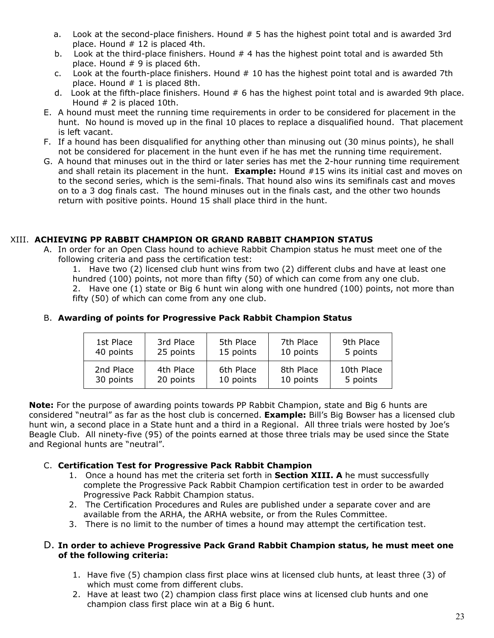- a. Look at the second-place finishers. Hound # 5 has the highest point total and is awarded 3rd place. Hound  $# 12$  is placed 4th.
- b. Look at the third-place finishers. Hound # 4 has the highest point total and is awarded 5th place. Hound # 9 is placed 6th.
- c. Look at the fourth-place finishers. Hound  $#10$  has the highest point total and is awarded 7th place. Hound  $# 1$  is placed 8th.
- d. Look at the fifth-place finishers. Hound # 6 has the highest point total and is awarded 9th place. Hound # 2 is placed 10th.
- E. A hound must meet the running time requirements in order to be considered for placement in the hunt. No hound is moved up in the final 10 places to replace a disqualified hound. That placement is left vacant.
- F. If a hound has been disqualified for anything other than minusing out (30 minus points), he shall not be considered for placement in the hunt even if he has met the running time requirement.
- G. A hound that minuses out in the third or later series has met the 2-hour running time requirement and shall retain its placement in the hunt. **Example:** Hound #15 wins its initial cast and moves on to the second series, which is the semi-finals. That hound also wins its semifinals cast and moves on to a 3 dog finals cast. The hound minuses out in the finals cast, and the other two hounds return with positive points. Hound 15 shall place third in the hunt.

#### XIII. **ACHIEVING PP RABBIT CHAMPION OR GRAND RABBIT CHAMPION STATUS**

A. In order for an Open Class hound to achieve Rabbit Champion status he must meet one of the following criteria and pass the certification test:

1. Have two (2) licensed club hunt wins from two (2) different clubs and have at least one hundred (100) points, not more than fifty (50) of which can come from any one club.

2. Have one (1) state or Big 6 hunt win along with one hundred (100) points, not more than fifty (50) of which can come from any one club.

| 1st Place | 3rd Place | 5th Place | 7th Place | 9th Place  |
|-----------|-----------|-----------|-----------|------------|
| 40 points | 25 points | 15 points | 10 points | 5 points   |
| 2nd Place | 4th Place | 6th Place | 8th Place | 10th Place |
| 30 points | 20 points | 10 points | 10 points | 5 points   |

#### B. **Awarding of points for Progressive Pack Rabbit Champion Status**

**Note:** For the purpose of awarding points towards PP Rabbit Champion, state and Big 6 hunts are considered "neutral" as far as the host club is concerned. **Example:** Bill's Big Bowser has a licensed club hunt win, a second place in a State hunt and a third in a Regional. All three trials were hosted by Joe's Beagle Club. All ninety-five (95) of the points earned at those three trials may be used since the State and Regional hunts are "neutral".

#### C. **Certification Test for Progressive Pack Rabbit Champion**

- 1. Once a hound has met the criteria set forth in **Section XIII. A** he must successfully complete the Progressive Pack Rabbit Champion certification test in order to be awarded Progressive Pack Rabbit Champion status.
- 2. The Certification Procedures and Rules are published under a separate cover and are available from the ARHA, the ARHA website, or from the Rules Committee.
- 3. There is no limit to the number of times a hound may attempt the certification test.

#### D. **In order to achieve Progressive Pack Grand Rabbit Champion status, he must meet one of the following criteria:**

- 1. Have five (5) champion class first place wins at licensed club hunts, at least three (3) of which must come from different clubs.
- 2. Have at least two (2) champion class first place wins at licensed club hunts and one champion class first place win at a Big 6 hunt.